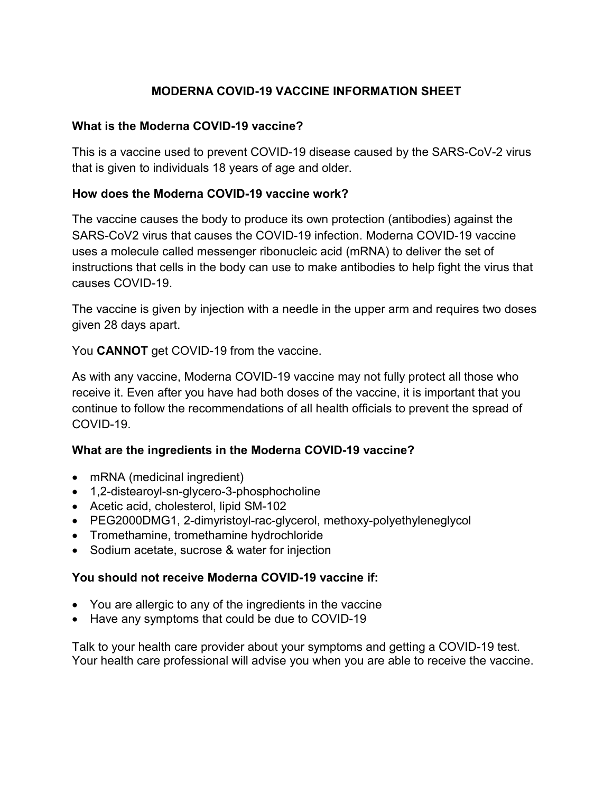# **MODERNA COVID-19 VACCINE INFORMATION SHEET**

### **What is the Moderna COVID-19 vaccine?**

This is a vaccine used to prevent COVID-19 disease caused by the SARS-CoV-2 virus that is given to individuals 18 years of age and older.

### **How does the Moderna COVID-19 vaccine work?**

The vaccine causes the body to produce its own protection (antibodies) against the SARS-CoV2 virus that causes the COVID-19 infection. Moderna COVID-19 vaccine uses a molecule called messenger ribonucleic acid (mRNA) to deliver the set of instructions that cells in the body can use to make antibodies to help fight the virus that causes COVID-19.

The vaccine is given by injection with a needle in the upper arm and requires two doses given 28 days apart.

You **CANNOT** get COVID-19 from the vaccine.

As with any vaccine, Moderna COVID-19 vaccine may not fully protect all those who receive it. Even after you have had both doses of the vaccine, it is important that you continue to follow the recommendations of all health officials to prevent the spread of COVID-19.

### **What are the ingredients in the Moderna COVID-19 vaccine?**

- mRNA (medicinal ingredient)
- 1,2-distearoyl-sn-glycero-3-phosphocholine
- Acetic acid, cholesterol, lipid SM-102
- PEG2000DMG1, 2-dimyristoyl-rac-glycerol, methoxy-polyethyleneglycol
- Tromethamine, tromethamine hydrochloride
- Sodium acetate, sucrose & water for injection

#### **You should not receive Moderna COVID-19 vaccine if:**

- You are allergic to any of the ingredients in the vaccine
- Have any symptoms that could be due to COVID-19

Talk to your health care provider about your symptoms and getting a COVID-19 test. Your health care professional will advise you when you are able to receive the vaccine.